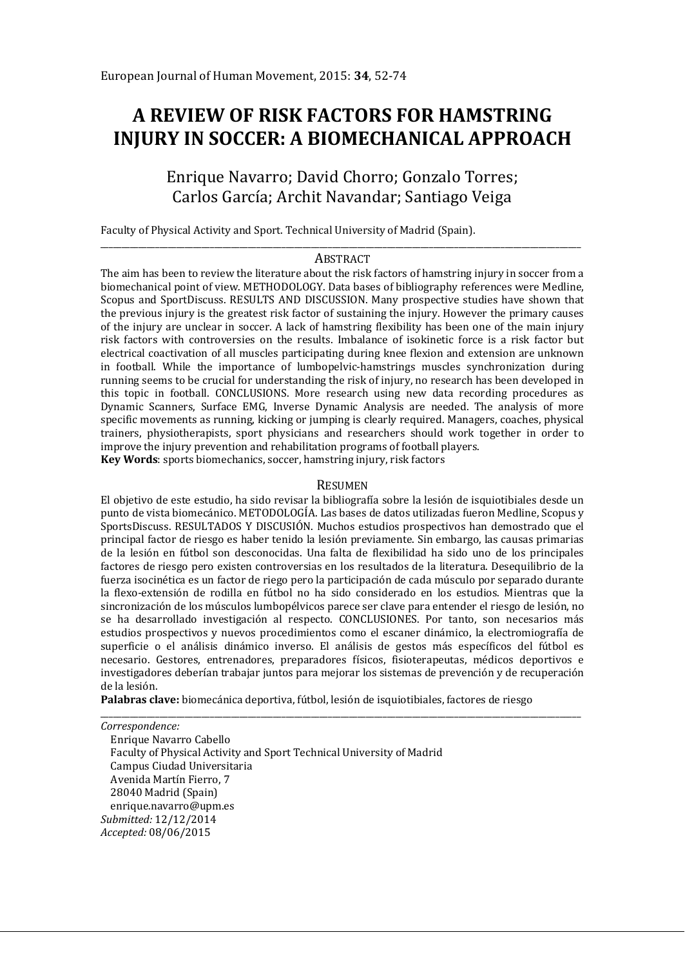# **A REVIEW OF RISK FACTORS FOR HAMSTRING INJURY IN SOCCER: A BIOMECHANICAL APPROACH**

## Enrique Navarro; David Chorro; Gonzalo Torres; Carlos García; Archit Navandar; Santiago Veiga

Faculty of Physical Activity and Sport. Technical University of Madrid (Spain).

#### \_\_\_\_\_\_\_\_\_\_\_\_\_\_\_\_\_\_\_\_\_\_\_\_\_\_\_\_\_\_\_\_\_\_\_\_\_\_\_\_\_\_\_\_\_\_\_\_\_\_\_\_\_\_\_\_\_\_\_\_\_\_\_\_\_\_\_\_\_\_\_\_\_\_\_\_\_\_\_\_\_\_\_\_\_\_\_\_\_\_\_\_\_\_\_\_\_\_\_\_\_\_\_\_\_\_\_\_\_\_\_\_\_\_ ABSTRACT

The aim has been to review the literature about the risk factors of hamstring injury in soccer from a biomechanical point of view. METHODOLOGY. Data bases of bibliography references were Medline, Scopus and SportDiscuss. RESULTS AND DISCUSSION. Many prospective studies have shown that the previous injury is the greatest risk factor of sustaining the injury. However the primary causes of the injury are unclear in soccer. A lack of hamstring flexibility has been one of the main injury risk factors with controversies on the results. Imbalance of isokinetic force is a risk factor but electrical coactivation of all muscles participating during knee flexion and extension are unknown in football. While the importance of lumbopelvic-hamstrings muscles synchronization during running seems to be crucial for understanding the risk of injury, no research has been developed in this topic in football. CONCLUSIONS. More research using new data recording procedures as Dynamic Scanners, Surface EMG, Inverse Dynamic Analysis are needed. The analysis of more specific movements as running, kicking or jumping is clearly required. Managers, coaches, physical trainers, physiotherapists, sport physicians and researchers should work together in order to improve the injury prevention and rehabilitation programs of football players.

**Key Words**: sports biomechanics, soccer, hamstring injury, risk factors

#### RESUMEN

El objetivo de este estudio, ha sido revisar la bibliografía sobre la lesión de isquiotibiales desde un punto de vista biomecánico. METODOLOGÍA. Las bases de datos utilizadas fueron Medline, Scopus y SportsDiscuss. RESULTADOS Y DISCUSIÓN. Muchos estudios prospectivos han demostrado que el principal factor de riesgo es haber tenido la lesión previamente. Sin embargo, las causas primarias de la lesión en fútbol son desconocidas. Una falta de flexibilidad ha sido uno de los principales factores de riesgo pero existen controversias en los resultados de la literatura. Desequilibrio de la fuerza isocinética es un factor de riego pero la participación de cada músculo por separado durante la flexo-extensión de rodilla en fútbol no ha sido considerado en los estudios. Mientras que la sincronización de los músculos lumbopélvicos parece ser clave para entender el riesgo de lesión, no se ha desarrollado investigación al respecto. CONCLUSIONES. Por tanto, son necesarios más estudios prospectivos y nuevos procedimientos como el escaner dinámico, la electromiografía de superficie o el análisis dinámico inverso. El análisis de gestos más específicos del fútbol es necesario. Gestores, entrenadores, preparadores físicos, fisioterapeutas, médicos deportivos e investigadores deberían trabajar juntos para mejorar los sistemas de prevención y de recuperación de la lesión.

**Palabras clave:** biomecánica deportiva, fútbol, lesión de isquiotibiales, factores de riesgo

\_\_\_\_\_\_\_\_\_\_\_\_\_\_\_\_\_\_\_\_\_\_\_\_\_\_\_\_\_\_\_\_\_\_\_\_\_\_\_\_\_\_\_\_\_\_\_\_\_\_\_\_\_\_\_\_\_\_\_\_\_\_\_\_\_\_\_\_\_\_\_\_\_\_\_\_\_\_\_\_\_\_\_\_\_\_\_\_\_\_\_\_\_\_\_\_\_\_\_\_\_\_\_\_\_\_\_\_\_\_\_\_\_\_ *Correspondence:* 

Enrique Navarro Cabello Faculty of Physical Activity and Sport Technical University of Madrid Campus Ciudad Universitaria Avenida Martín Fierro, 7 28040 Madrid (Spain) enrique.navarro@upm.es *Submitted:* 12/12/2014 *Accepted:* 08/06/2015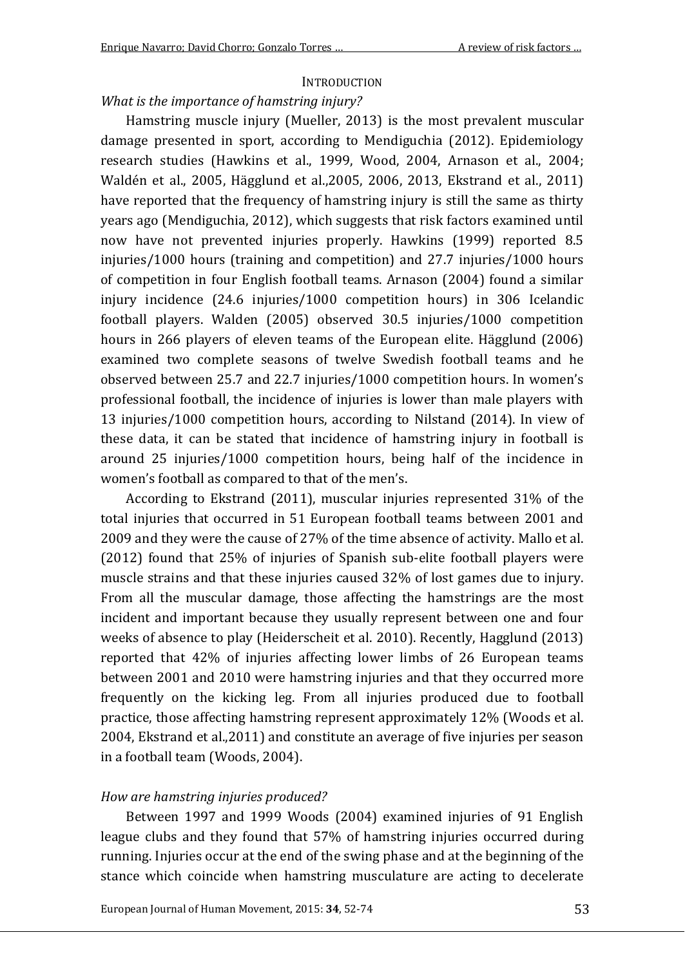## **INTRODUCTION**

## *What is the importance of hamstring injury?*

Hamstring muscle injury (Mueller, 2013) is the most prevalent muscular damage presented in sport, according to Mendiguchia (2012). Epidemiology research studies (Hawkins et al., 1999, Wood, 2004, Arnason et al., 2004; Waldén et al., 2005, Hägglund et al.,2005, 2006, 2013, Ekstrand et al., 2011) have reported that the frequency of hamstring injury is still the same as thirty years ago (Mendiguchia, 2012), which suggests that risk factors examined until now have not prevented injuries properly. Hawkins (1999) reported 8.5 injuries/1000 hours (training and competition) and 27.7 injuries/1000 hours of competition in four English football teams. Arnason (2004) found a similar injury incidence (24.6 injuries/1000 competition hours) in 306 Icelandic football players. Walden (2005) observed 30.5 injuries/1000 competition hours in 266 players of eleven teams of the European elite. Hägglund (2006) examined two complete seasons of twelve Swedish football teams and he observed between 25.7 and 22.7 injuries/1000 competition hours. In women's professional football, the incidence of injuries is lower than male players with 13 injuries/1000 competition hours, according to Nilstand (2014). In view of these data, it can be stated that incidence of hamstring injury in football is around 25 injuries/1000 competition hours, being half of the incidence in women's football as compared to that of the men's.

According to Ekstrand (2011), muscular injuries represented 31% of the total injuries that occurred in 51 European football teams between 2001 and 2009 and they were the cause of 27% of the time absence of activity. Mallo et al. (2012) found that 25% of injuries of Spanish sub-elite football players were muscle strains and that these injuries caused 32% of lost games due to injury. From all the muscular damage, those affecting the hamstrings are the most incident and important because they usually represent between one and four weeks of absence to play (Heiderscheit et al. 2010). Recently, Hagglund (2013) reported that 42% of injuries affecting lower limbs of 26 European teams between 2001 and 2010 were hamstring injuries and that they occurred more frequently on the kicking leg. From all injuries produced due to football practice, those affecting hamstring represent approximately 12% (Woods et al. 2004, Ekstrand et al.,2011) and constitute an average of five injuries per season in a football team (Woods, 2004).

#### *How are hamstring injuries produced?*

Between 1997 and 1999 Woods (2004) examined injuries of 91 English league clubs and they found that 57% of hamstring injuries occurred during running. Injuries occur at the end of the swing phase and at the beginning of the stance which coincide when hamstring musculature are acting to decelerate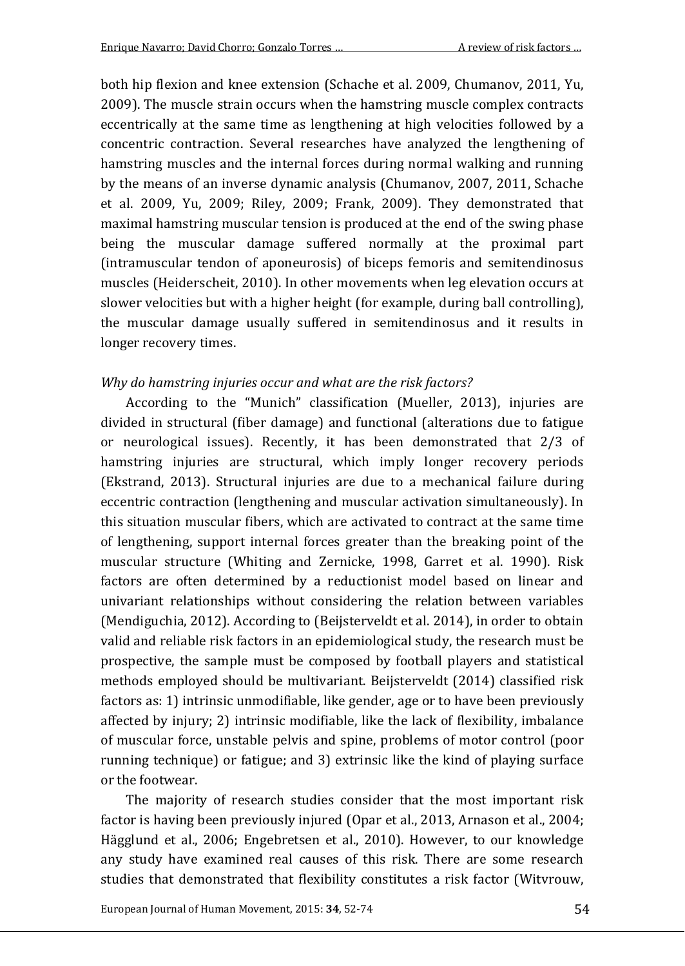both hip flexion and knee extension (Schache et al. 2009, Chumanov, 2011, Yu, 2009). The muscle strain occurs when the hamstring muscle complex contracts eccentrically at the same time as lengthening at high velocities followed by a concentric contraction. Several researches have analyzed the lengthening of hamstring muscles and the internal forces during normal walking and running by the means of an inverse dynamic analysis (Chumanov, 2007, 2011, Schache et al. 2009, Yu, 2009; Riley, 2009; Frank, 2009). They demonstrated that maximal hamstring muscular tension is produced at the end of the swing phase being the muscular damage suffered normally at the proximal part (intramuscular tendon of aponeurosis) of biceps femoris and semitendinosus muscles (Heiderscheit, 2010). In other movements when leg elevation occurs at slower velocities but with a higher height (for example, during ball controlling), the muscular damage usually suffered in semitendinosus and it results in longer recovery times.

#### *Why do hamstring injuries occur and what are the risk factors?*

According to the "Munich" classification (Mueller, 2013), injuries are divided in structural (fiber damage) and functional (alterations due to fatigue or neurological issues). Recently, it has been demonstrated that 2/3 of hamstring injuries are structural, which imply longer recovery periods (Ekstrand, 2013). Structural injuries are due to a mechanical failure during eccentric contraction (lengthening and muscular activation simultaneously). In this situation muscular fibers, which are activated to contract at the same time of lengthening, support internal forces greater than the breaking point of the muscular structure (Whiting and Zernicke, 1998, Garret et al. 1990). Risk factors are often determined by a reductionist model based on linear and univariant relationships without considering the relation between variables (Mendiguchia, 2012). According to (Beijsterveldt et al. 2014), in order to obtain valid and reliable risk factors in an epidemiological study, the research must be prospective, the sample must be composed by football players and statistical methods employed should be multivariant. Beijsterveldt (2014) classified risk factors as: 1) intrinsic unmodifiable, like gender, age or to have been previously affected by injury; 2) intrinsic modifiable, like the lack of flexibility, imbalance of muscular force, unstable pelvis and spine, problems of motor control (poor running technique) or fatigue; and 3) extrinsic like the kind of playing surface or the footwear.

The majority of research studies consider that the most important risk factor is having been previously injured (Opar et al., 2013, Arnason et al., 2004; Hägglund et al., 2006; Engebretsen et al., 2010). However, to our knowledge any study have examined real causes of this risk. There are some research studies that demonstrated that flexibility constitutes a risk factor (Witvrouw,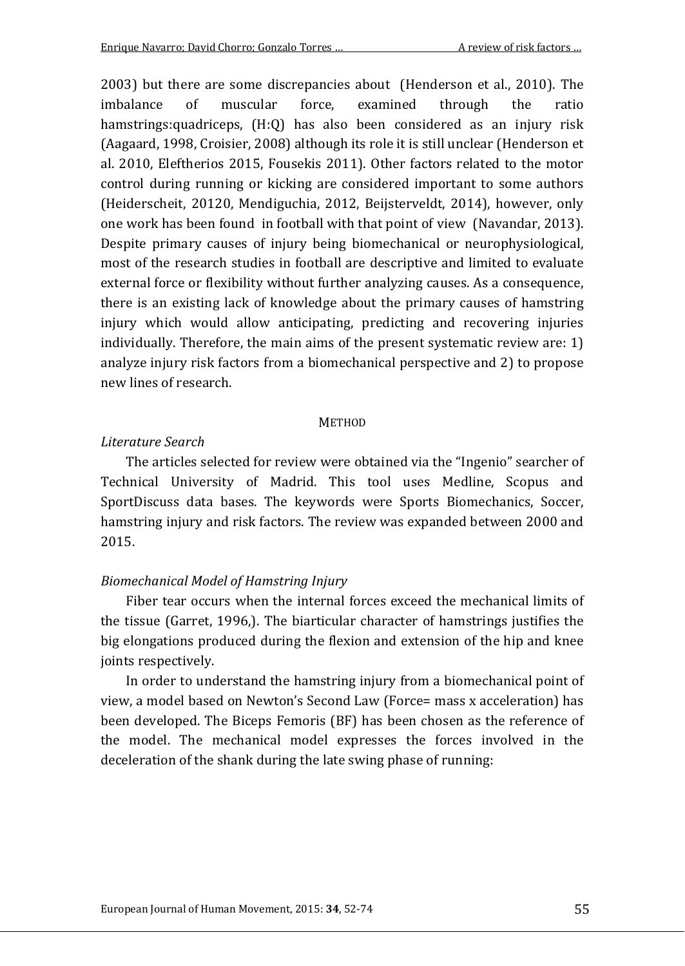2003) but there are some discrepancies about (Henderson et al., 2010). The imbalance of muscular force. examined through the ratio imbalance of muscular force, examined through the ratio hamstrings:quadriceps, (H:Q) has also been considered as an injury risk (Aagaard, 1998, Croisier, 2008) although its role it is still unclear (Henderson et al. 2010, Eleftherios 2015, Fousekis 2011). Other factors related to the motor control during running or kicking are considered important to some authors (Heiderscheit, 20120, Mendiguchia, 2012, Beijsterveldt, 2014), however, only one work has been found in football with that point of view (Navandar, 2013). Despite primary causes of injury being biomechanical or neurophysiological, most of the research studies in football are descriptive and limited to evaluate external force or flexibility without further analyzing causes. As a consequence, there is an existing lack of knowledge about the primary causes of hamstring injury which would allow anticipating, predicting and recovering injuries individually. Therefore, the main aims of the present systematic review are: 1) analyze injury risk factors from a biomechanical perspective and 2) to propose new lines of research.

#### **METHOD**

#### *Literature Search*

The articles selected for review were obtained via the "Ingenio" searcher of Technical University of Madrid. This tool uses Medline, Scopus and SportDiscuss data bases. The keywords were Sports Biomechanics, Soccer, hamstring injury and risk factors. The review was expanded between 2000 and 2015.

#### *Biomechanical Model of Hamstring Injury*

Fiber tear occurs when the internal forces exceed the mechanical limits of the tissue (Garret, 1996,). The biarticular character of hamstrings justifies the big elongations produced during the flexion and extension of the hip and knee joints respectively.

In order to understand the hamstring injury from a biomechanical point of view, a model based on Newton's Second Law (Force= mass x acceleration) has been developed. The Biceps Femoris (BF) has been chosen as the reference of the model. The mechanical model expresses the forces involved in the deceleration of the shank during the late swing phase of running: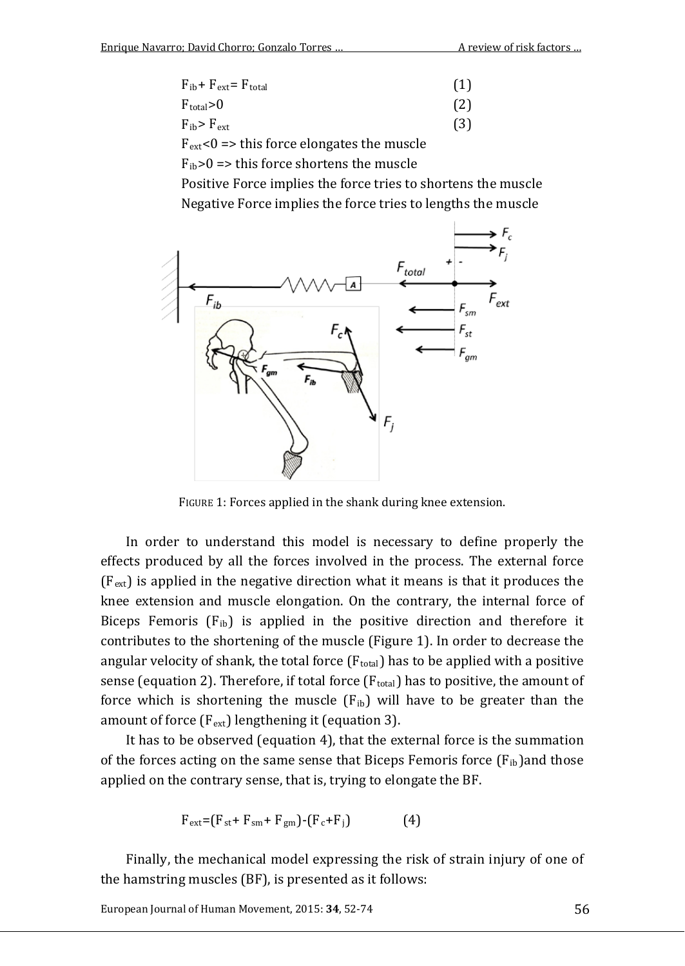| $F_{ib} + F_{ext} = F_{total}$ | (1) |
|--------------------------------|-----|
| $F_{total} > 0$                | (2) |
| $F_{ib}$ > $F_{ext}$           | (3) |

 $F_{ext}$ <0 => this force elongates the muscle

 $F_{ib}>0 \Rightarrow$  this force shortens the muscle

Positive Force implies the force tries to shortens the muscle Negative Force implies the force tries to lengths the muscle



FIGURE 1: Forces applied in the shank during knee extension.

In order to understand this model is necessary to define properly the effects produced by all the forces involved in the process. The external force  $(F_{ext})$  is applied in the negative direction what it means is that it produces the knee extension and muscle elongation. On the contrary, the internal force of Biceps Femoris  $(F_{ib})$  is applied in the positive direction and therefore it contributes to the shortening of the muscle (Figure 1). In order to decrease the angular velocity of shank, the total force  $(F_{total})$  has to be applied with a positive sense (equation 2). Therefore, if total force  $(F_{total})$  has to positive, the amount of force which is shortening the muscle  $(F_{ib})$  will have to be greater than the amount of force  $(F_{ext})$  lengthening it (equation 3).

It has to be observed (equation 4), that the external force is the summation of the forces acting on the same sense that Biceps Femoris force  $(F_{ib})$  and those applied on the contrary sense, that is, trying to elongate the BF.

$$
F_{ext} = (F_{st} + F_{sm} + F_{gm}) - (F_c + F_j)
$$
 (4)

Finally, the mechanical model expressing the risk of strain injury of one of the hamstring muscles (BF), is presented as it follows: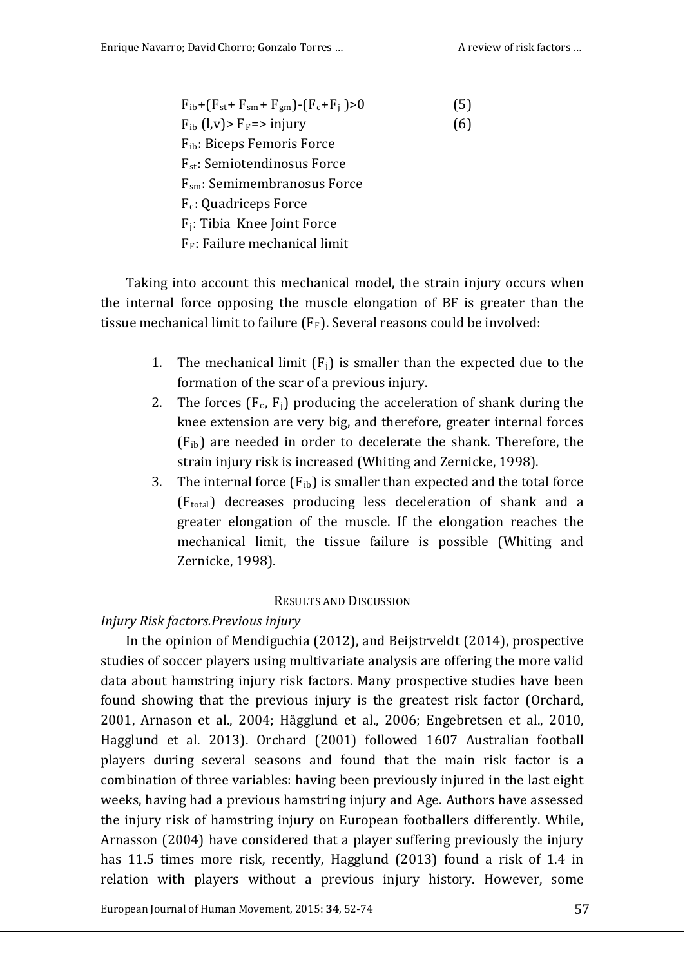| $F_{ib}$ +( $F_{st}$ + $F_{sm}$ + $F_{gm}$ )-( $F_c$ + $F_i$ )>0 | (5) |
|------------------------------------------------------------------|-----|
| $F_{ib}$ (l,v)> $F_F$ => injury                                  | (6) |
| F <sub>ib</sub> : Biceps Femoris Force                           |     |
| $F_{st}$ : Semiotendinosus Force                                 |     |
| $F_{\text{sm}}$ : Semimembranosus Force                          |     |
| F <sub>c</sub> : Quadriceps Force                                |     |
| F <sub>i</sub> : Tibia Knee Joint Force                          |     |
| $F_F$ : Failure mechanical limit                                 |     |
|                                                                  |     |

Taking into account this mechanical model, the strain injury occurs when the internal force opposing the muscle elongation of BF is greater than the tissue mechanical limit to failure  $(F_F)$ . Several reasons could be involved:

- 1. The mechanical limit  $(F_i)$  is smaller than the expected due to the formation of the scar of a previous injury.
- 2. The forces  $(F_c, F_i)$  producing the acceleration of shank during the knee extension are very big, and therefore, greater internal forces  $(F<sub>ib</sub>)$  are needed in order to decelerate the shank. Therefore, the strain injury risk is increased (Whiting and Zernicke, 1998).
- 3. The internal force  $(F_{ib})$  is smaller than expected and the total force (Ftotal) decreases producing less deceleration of shank and a greater elongation of the muscle. If the elongation reaches the mechanical limit, the tissue failure is possible (Whiting and Zernicke, 1998).

#### RESULTS AND DISCUSSION

#### *Injury Risk factors.Previous injury*

In the opinion of Mendiguchia (2012), and Beijstrveldt (2014), prospective studies of soccer players using multivariate analysis are offering the more valid data about hamstring injury risk factors. Many prospective studies have been found showing that the previous injury is the greatest risk factor (Orchard, 2001, Arnason et al., 2004; Hägglund et al., 2006; Engebretsen et al., 2010, Hagglund et al. 2013). Orchard (2001) followed 1607 Australian football players during several seasons and found that the main risk factor is a combination of three variables: having been previously injured in the last eight weeks, having had a previous hamstring injury and Age. Authors have assessed the injury risk of hamstring injury on European footballers differently. While, Arnasson (2004) have considered that a player suffering previously the injury has 11.5 times more risk, recently, Hagglund (2013) found a risk of 1.4 in relation with players without a previous injury history. However, some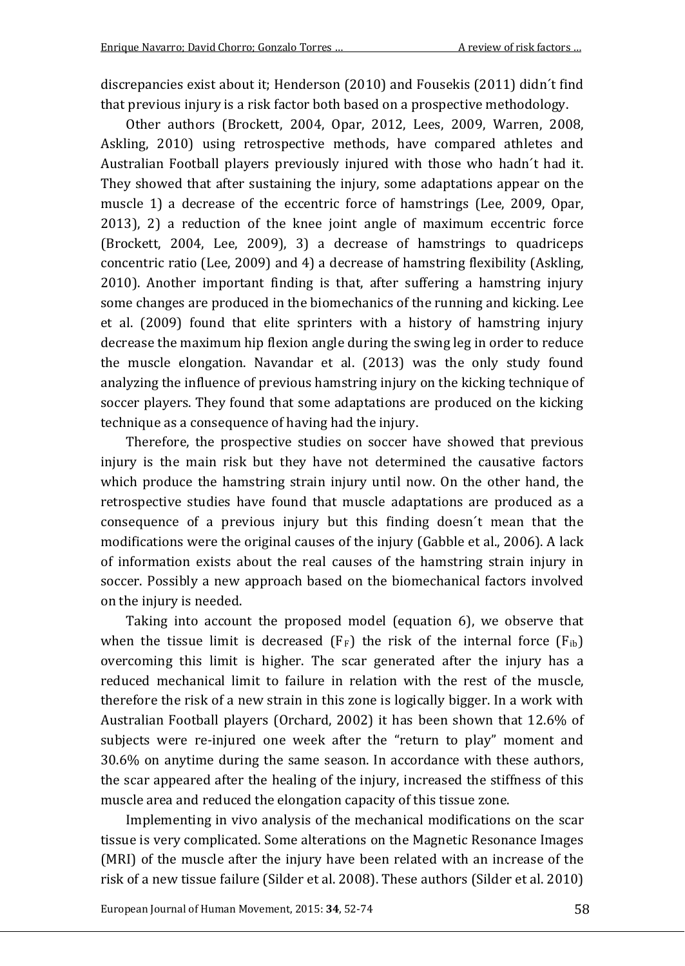discrepancies exist about it; Henderson (2010) and Fousekis (2011) didn´t find that previous injury is a risk factor both based on a prospective methodology.

Other authors (Brockett, 2004, Opar, 2012, Lees, 2009, Warren, 2008, Askling, 2010) using retrospective methods, have compared athletes and Australian Football players previously injured with those who hadn´t had it. They showed that after sustaining the injury, some adaptations appear on the muscle 1) a decrease of the eccentric force of hamstrings (Lee, 2009, Opar, 2013), 2) a reduction of the knee joint angle of maximum eccentric force (Brockett, 2004, Lee, 2009), 3) a decrease of hamstrings to quadriceps concentric ratio (Lee, 2009) and 4) a decrease of hamstring flexibility (Askling, 2010). Another important finding is that, after suffering a hamstring injury some changes are produced in the biomechanics of the running and kicking. Lee et al. (2009) found that elite sprinters with a history of hamstring injury decrease the maximum hip flexion angle during the swing leg in order to reduce the muscle elongation. Navandar et al. (2013) was the only study found analyzing the influence of previous hamstring injury on the kicking technique of soccer players. They found that some adaptations are produced on the kicking technique as a consequence of having had the injury.

Therefore, the prospective studies on soccer have showed that previous injury is the main risk but they have not determined the causative factors which produce the hamstring strain injury until now. On the other hand, the retrospective studies have found that muscle adaptations are produced as a consequence of a previous injury but this finding doesn´t mean that the modifications were the original causes of the injury (Gabble et al., 2006). A lack of information exists about the real causes of the hamstring strain injury in soccer. Possibly a new approach based on the biomechanical factors involved on the injury is needed.

Taking into account the proposed model (equation 6), we observe that when the tissue limit is decreased  $(F_F)$  the risk of the internal force  $(F_{ib})$ overcoming this limit is higher. The scar generated after the injury has a reduced mechanical limit to failure in relation with the rest of the muscle, therefore the risk of a new strain in this zone is logically bigger. In a work with Australian Football players (Orchard, 2002) it has been shown that 12.6% of subjects were re-injured one week after the "return to play" moment and 30.6% on anytime during the same season. In accordance with these authors, the scar appeared after the healing of the injury, increased the stiffness of this muscle area and reduced the elongation capacity of this tissue zone.

Implementing in vivo analysis of the mechanical modifications on the scar tissue is very complicated. Some alterations on the Magnetic Resonance Images (MRI) of the muscle after the injury have been related with an increase of the risk of a new tissue failure (Silder et al. 2008). These authors (Silder et al. 2010)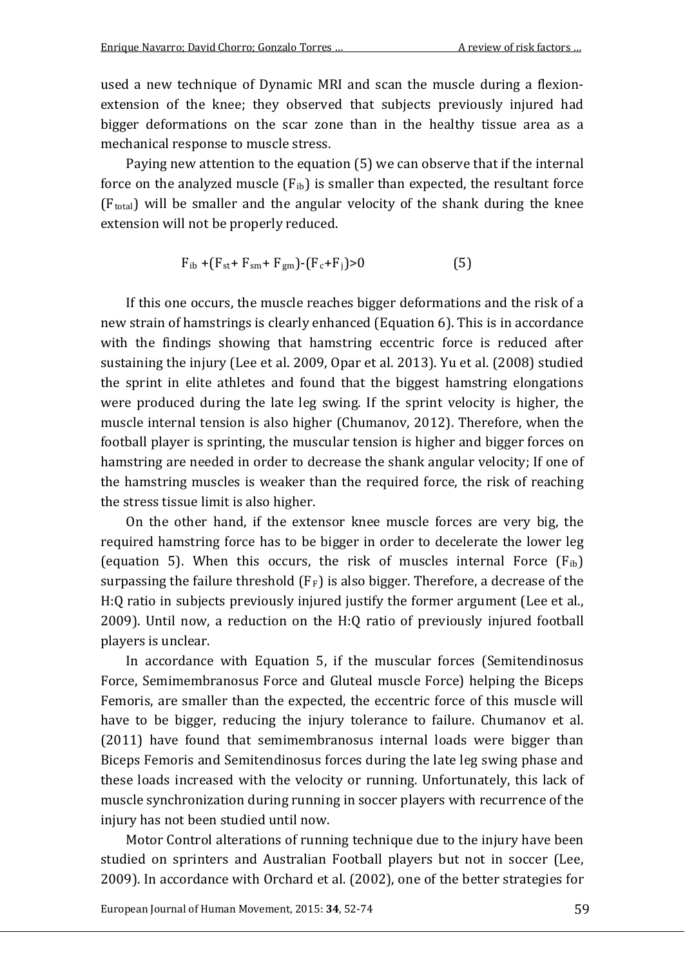used a new technique of Dynamic MRI and scan the muscle during a flexionextension of the knee; they observed that subjects previously injured had bigger deformations on the scar zone than in the healthy tissue area as a mechanical response to muscle stress.

Paying new attention to the equation (5) we can observe that if the internal force on the analyzed muscle  $(F_{ih})$  is smaller than expected, the resultant force  $(F<sub>total</sub>)$  will be smaller and the angular velocity of the shank during the knee extension will not be properly reduced.

$$
F_{ib} + (F_{st} + F_{sm} + F_{gm}) - (F_c + F_j) > 0
$$
 (5)

If this one occurs, the muscle reaches bigger deformations and the risk of a new strain of hamstrings is clearly enhanced (Equation 6). This is in accordance with the findings showing that hamstring eccentric force is reduced after sustaining the injury (Lee et al. 2009, Opar et al. 2013). Yu et al. (2008) studied the sprint in elite athletes and found that the biggest hamstring elongations were produced during the late leg swing. If the sprint velocity is higher, the muscle internal tension is also higher (Chumanov, 2012). Therefore, when the football player is sprinting, the muscular tension is higher and bigger forces on hamstring are needed in order to decrease the shank angular velocity; If one of the hamstring muscles is weaker than the required force, the risk of reaching the stress tissue limit is also higher.

On the other hand, if the extensor knee muscle forces are very big, the required hamstring force has to be bigger in order to decelerate the lower leg (equation 5). When this occurs, the risk of muscles internal Force  $(F_{ib})$ surpassing the failure threshold  $(F_F)$  is also bigger. Therefore, a decrease of the H:Q ratio in subjects previously injured justify the former argument (Lee et al., 2009). Until now, a reduction on the H:Q ratio of previously injured football players is unclear.

In accordance with Equation 5, if the muscular forces (Semitendinosus Force, Semimembranosus Force and Gluteal muscle Force) helping the Biceps Femoris, are smaller than the expected, the eccentric force of this muscle will have to be bigger, reducing the injury tolerance to failure. Chumanov et al. (2011) have found that semimembranosus internal loads were bigger than Biceps Femoris and Semitendinosus forces during the late leg swing phase and these loads increased with the velocity or running. Unfortunately, this lack of muscle synchronization during running in soccer players with recurrence of the injury has not been studied until now.

Motor Control alterations of running technique due to the injury have been studied on sprinters and Australian Football players but not in soccer (Lee, 2009). In accordance with Orchard et al. (2002), one of the better strategies for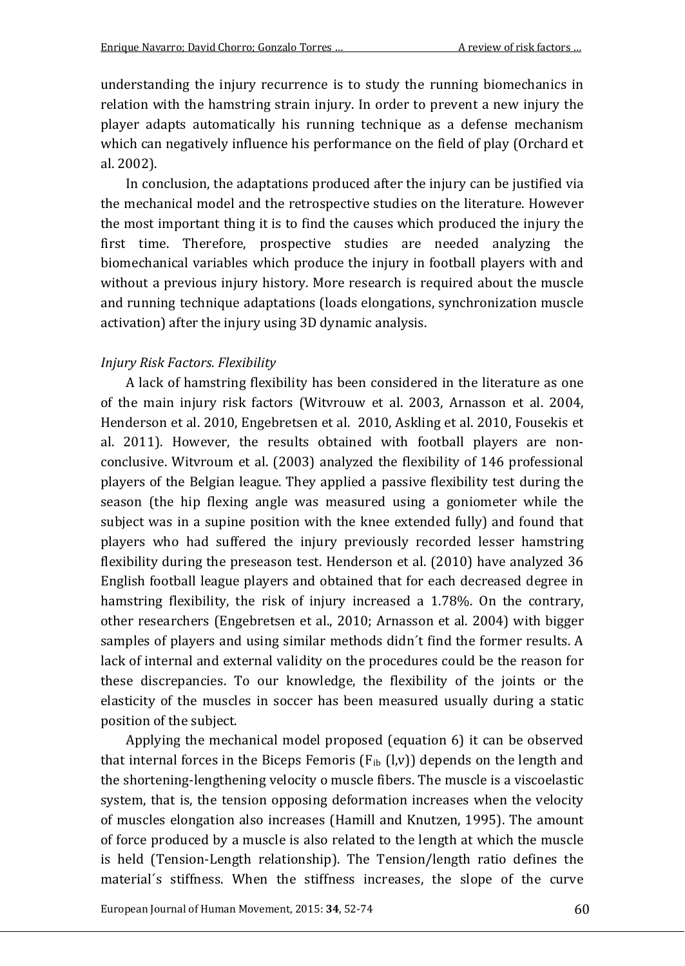understanding the injury recurrence is to study the running biomechanics in relation with the hamstring strain injury. In order to prevent a new injury the player adapts automatically his running technique as a defense mechanism which can negatively influence his performance on the field of play (Orchard et al. 2002).

In conclusion, the adaptations produced after the injury can be justified via the mechanical model and the retrospective studies on the literature. However the most important thing it is to find the causes which produced the injury the first time. Therefore, prospective studies are needed analyzing the biomechanical variables which produce the injury in football players with and without a previous injury history. More research is required about the muscle and running technique adaptations (loads elongations, synchronization muscle activation) after the injury using 3D dynamic analysis.

#### *Injury Risk Factors. Flexibility*

A lack of hamstring flexibility has been considered in the literature as one of the main injury risk factors (Witvrouw et al. 2003, Arnasson et al. 2004, Henderson et al. 2010, Engebretsen et al. 2010, Askling et al. 2010, Fousekis et al. 2011). However, the results obtained with football players are nonconclusive. Witvroum et al. (2003) analyzed the flexibility of 146 professional players of the Belgian league. They applied a passive flexibility test during the season (the hip flexing angle was measured using a goniometer while the subject was in a supine position with the knee extended fully) and found that players who had suffered the injury previously recorded lesser hamstring flexibility during the preseason test. Henderson et al. (2010) have analyzed 36 English football league players and obtained that for each decreased degree in hamstring flexibility, the risk of injury increased a 1.78%. On the contrary, other researchers (Engebretsen et al., 2010; Arnasson et al. 2004) with bigger samples of players and using similar methods didn´t find the former results. A lack of internal and external validity on the procedures could be the reason for these discrepancies. To our knowledge, the flexibility of the joints or the elasticity of the muscles in soccer has been measured usually during a static position of the subject.

Applying the mechanical model proposed (equation 6) it can be observed that internal forces in the Biceps Femoris  $(F_{ib} (l,v))$  depends on the length and the shortening-lengthening velocity o muscle fibers. The muscle is a viscoelastic system, that is, the tension opposing deformation increases when the velocity of muscles elongation also increases (Hamill and Knutzen, 1995). The amount of force produced by a muscle is also related to the length at which the muscle is held (Tension-Length relationship). The Tension/length ratio defines the material´s stiffness. When the stiffness increases, the slope of the curve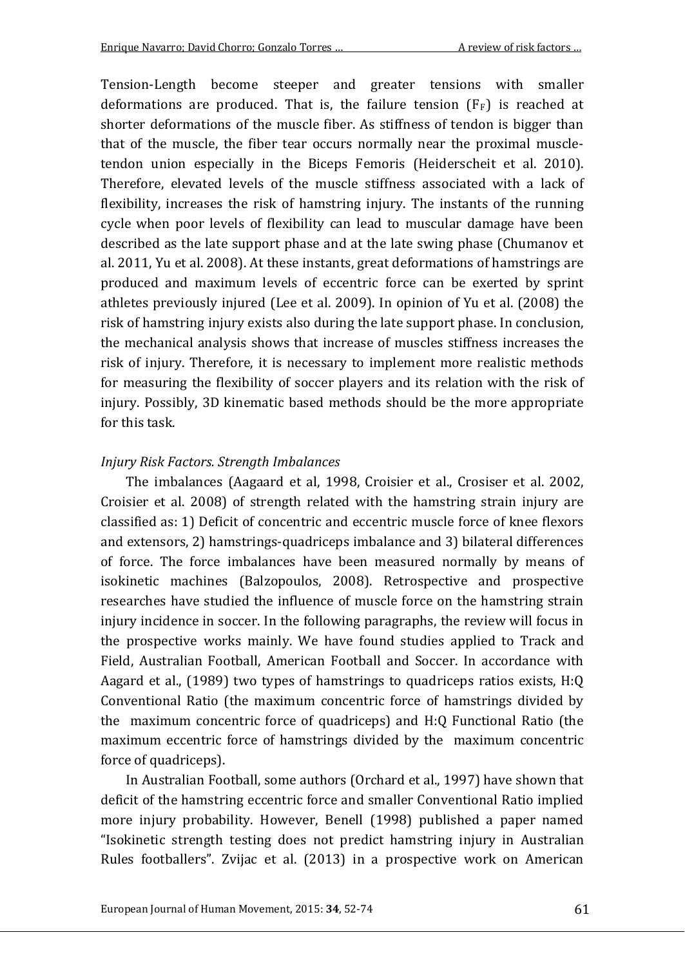Tension-Length become steeper and greater tensions with smaller deformations are produced. That is, the failure tension  $(F_F)$  is reached at shorter deformations of the muscle fiber. As stiffness of tendon is bigger than that of the muscle, the fiber tear occurs normally near the proximal muscletendon union especially in the Biceps Femoris (Heiderscheit et al. 2010). Therefore, elevated levels of the muscle stiffness associated with a lack of flexibility, increases the risk of hamstring injury. The instants of the running cycle when poor levels of flexibility can lead to muscular damage have been described as the late support phase and at the late swing phase (Chumanov et al. 2011, Yu et al. 2008). At these instants, great deformations of hamstrings are produced and maximum levels of eccentric force can be exerted by sprint athletes previously injured (Lee et al. 2009). In opinion of Yu et al. (2008) the risk of hamstring injury exists also during the late support phase. In conclusion, the mechanical analysis shows that increase of muscles stiffness increases the risk of injury. Therefore, it is necessary to implement more realistic methods for measuring the flexibility of soccer players and its relation with the risk of injury. Possibly, 3D kinematic based methods should be the more appropriate for this task.

#### *Injury Risk Factors. Strength Imbalances*

The imbalances (Aagaard et al, 1998, Croisier et al., Crosiser et al. 2002, Croisier et al. 2008) of strength related with the hamstring strain injury are classified as: 1) Deficit of concentric and eccentric muscle force of knee flexors and extensors, 2) hamstrings-quadriceps imbalance and 3) bilateral differences of force. The force imbalances have been measured normally by means of isokinetic machines (Balzopoulos, 2008). Retrospective and prospective researches have studied the influence of muscle force on the hamstring strain injury incidence in soccer. In the following paragraphs, the review will focus in the prospective works mainly. We have found studies applied to Track and Field, Australian Football, American Football and Soccer. In accordance with Aagard et al., (1989) two types of hamstrings to quadriceps ratios exists, H:Q Conventional Ratio (the maximum concentric force of hamstrings divided by the maximum concentric force of quadriceps) and H:Q Functional Ratio (the maximum eccentric force of hamstrings divided by the maximum concentric force of quadriceps).

In Australian Football, some authors (Orchard et al., 1997) have shown that deficit of the hamstring eccentric force and smaller Conventional Ratio implied more injury probability. However, Benell (1998) published a paper named "Isokinetic strength testing does not predict hamstring injury in Australian Rules footballers". Zvijac et al. (2013) in a prospective work on American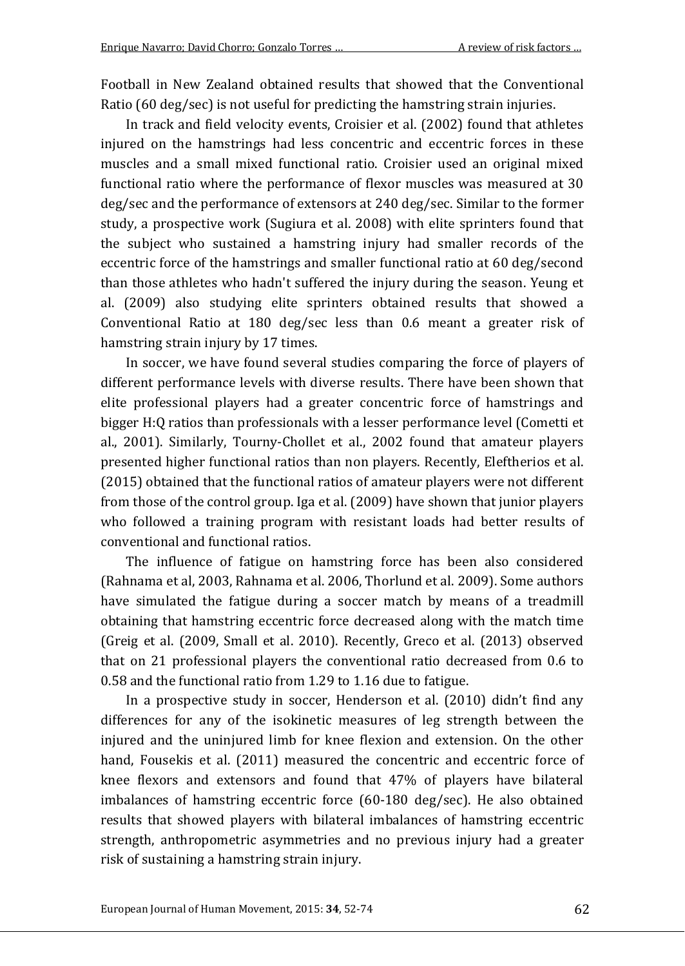Football in New Zealand obtained results that showed that the Conventional Ratio (60 deg/sec) is not useful for predicting the hamstring strain injuries.

In track and field velocity events, Croisier et al. (2002) found that athletes injured on the hamstrings had less concentric and eccentric forces in these muscles and a small mixed functional ratio. Croisier used an original mixed functional ratio where the performance of flexor muscles was measured at 30 deg/sec and the performance of extensors at 240 deg/sec. Similar to the former study, a prospective work (Sugiura et al. 2008) with elite sprinters found that the subject who sustained a hamstring injury had smaller records of the eccentric force of the hamstrings and smaller functional ratio at 60 deg/second than those athletes who hadn't suffered the injury during the season. Yeung et al. (2009) also studying elite sprinters obtained results that showed a Conventional Ratio at 180 deg/sec less than 0.6 meant a greater risk of hamstring strain injury by 17 times.

In soccer, we have found several studies comparing the force of players of different performance levels with diverse results. There have been shown that elite professional players had a greater concentric force of hamstrings and bigger H:Q ratios than professionals with a lesser performance level (Cometti et al., 2001). Similarly, Tourny-Chollet et al., 2002 found that amateur players presented higher functional ratios than non players. Recently, Eleftherios et al. (2015) obtained that the functional ratios of amateur players were not different from those of the control group. Iga et al. (2009) have shown that junior players who followed a training program with resistant loads had better results of conventional and functional ratios.

The influence of fatigue on hamstring force has been also considered (Rahnama et al, 2003, Rahnama et al. 2006, Thorlund et al. 2009). Some authors have simulated the fatigue during a soccer match by means of a treadmill obtaining that hamstring eccentric force decreased along with the match time (Greig et al. (2009, Small et al. 2010). Recently, Greco et al. (2013) observed that on 21 professional players the conventional ratio decreased from 0.6 to 0.58 and the functional ratio from 1.29 to 1.16 due to fatigue.

In a prospective study in soccer, Henderson et al. (2010) didn't find any differences for any of the isokinetic measures of leg strength between the injured and the uninjured limb for knee flexion and extension. On the other hand, Fousekis et al. (2011) measured the concentric and eccentric force of knee flexors and extensors and found that 47% of players have bilateral imbalances of hamstring eccentric force (60-180 deg/sec). He also obtained results that showed players with bilateral imbalances of hamstring eccentric strength, anthropometric asymmetries and no previous injury had a greater risk of sustaining a hamstring strain injury.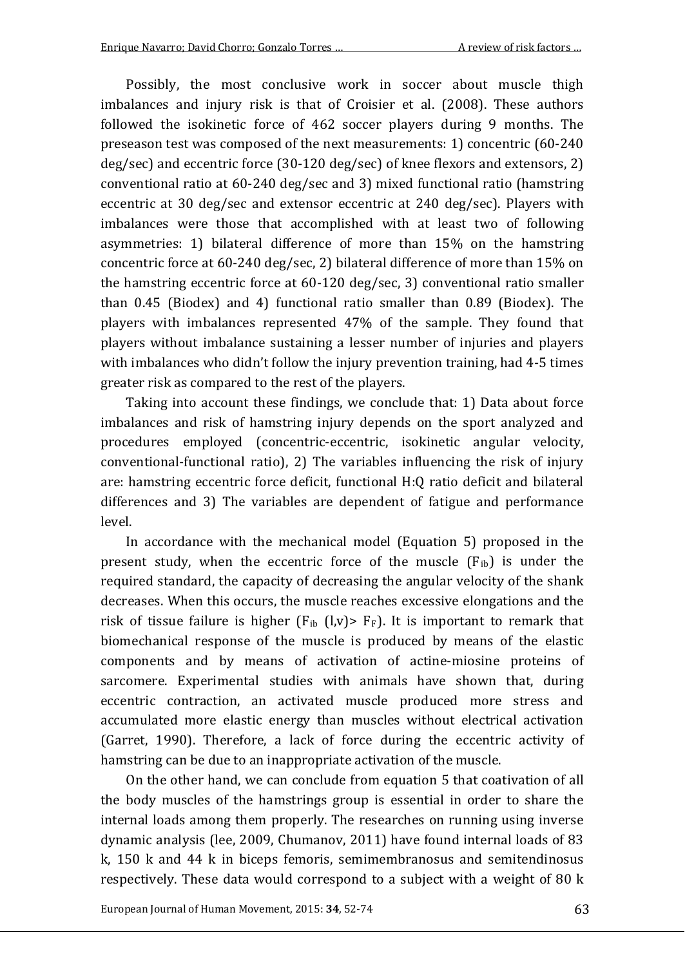Possibly, the most conclusive work in soccer about muscle thigh imbalances and injury risk is that of Croisier et al. (2008). These authors followed the isokinetic force of 462 soccer players during 9 months. The preseason test was composed of the next measurements: 1) concentric (60-240 deg/sec) and eccentric force (30-120 deg/sec) of knee flexors and extensors, 2) conventional ratio at 60-240 deg/sec and 3) mixed functional ratio (hamstring eccentric at 30 deg/sec and extensor eccentric at 240 deg/sec). Players with imbalances were those that accomplished with at least two of following asymmetries: 1) bilateral difference of more than 15% on the hamstring concentric force at 60-240 deg/sec, 2) bilateral difference of more than 15% on the hamstring eccentric force at 60-120 deg/sec, 3) conventional ratio smaller than 0.45 (Biodex) and 4) functional ratio smaller than 0.89 (Biodex). The players with imbalances represented 47% of the sample. They found that players without imbalance sustaining a lesser number of injuries and players with imbalances who didn't follow the injury prevention training, had 4-5 times greater risk as compared to the rest of the players.

Taking into account these findings, we conclude that: 1) Data about force imbalances and risk of hamstring injury depends on the sport analyzed and procedures employed (concentric-eccentric, isokinetic angular velocity, conventional-functional ratio), 2) The variables influencing the risk of injury are: hamstring eccentric force deficit, functional H:Q ratio deficit and bilateral differences and 3) The variables are dependent of fatigue and performance level.

In accordance with the mechanical model (Equation 5) proposed in the present study, when the eccentric force of the muscle  $(F_{ib})$  is under the required standard, the capacity of decreasing the angular velocity of the shank decreases. When this occurs, the muscle reaches excessive elongations and the risk of tissue failure is higher  $(F_{ib} (l,v) > F_F)$ . It is important to remark that biomechanical response of the muscle is produced by means of the elastic components and by means of activation of actine-miosine proteins of sarcomere. Experimental studies with animals have shown that, during eccentric contraction, an activated muscle produced more stress and accumulated more elastic energy than muscles without electrical activation (Garret, 1990). Therefore, a lack of force during the eccentric activity of hamstring can be due to an inappropriate activation of the muscle.

On the other hand, we can conclude from equation 5 that coativation of all the body muscles of the hamstrings group is essential in order to share the internal loads among them properly. The researches on running using inverse dynamic analysis (lee, 2009, Chumanov, 2011) have found internal loads of 83 k, 150 k and 44 k in biceps femoris, semimembranosus and semitendinosus respectively. These data would correspond to a subject with a weight of 80 k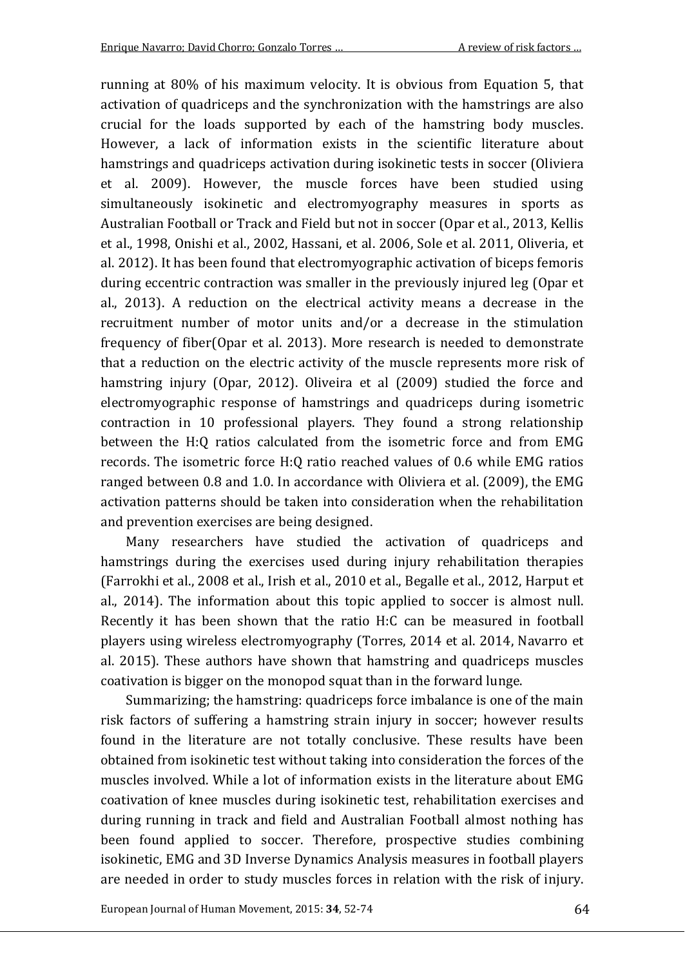running at 80% of his maximum velocity. It is obvious from Equation 5, that activation of quadriceps and the synchronization with the hamstrings are also crucial for the loads supported by each of the hamstring body muscles. However, a lack of information exists in the scientific literature about hamstrings and quadriceps activation during isokinetic tests in soccer (Oliviera et al. 2009). However, the muscle forces have been studied using simultaneously isokinetic and electromyography measures in sports as Australian Football or Track and Field but not in soccer (Opar et al., 2013, Kellis et al., 1998, Onishi et al., 2002, Hassani, et al. 2006, Sole et al. 2011, Oliveria, et al. 2012). It has been found that electromyographic activation of biceps femoris during eccentric contraction was smaller in the previously injured leg (Opar et al., 2013). A reduction on the electrical activity means a decrease in the recruitment number of motor units and/or a decrease in the stimulation frequency of fiber(Opar et al. 2013). More research is needed to demonstrate that a reduction on the electric activity of the muscle represents more risk of hamstring injury (Opar, 2012). Oliveira et al (2009) studied the force and electromyographic response of hamstrings and quadriceps during isometric contraction in 10 professional players. They found a strong relationship between the H:Q ratios calculated from the isometric force and from EMG records. The isometric force H:Q ratio reached values of 0.6 while EMG ratios ranged between 0.8 and 1.0. In accordance with Oliviera et al. (2009), the EMG activation patterns should be taken into consideration when the rehabilitation and prevention exercises are being designed.

Many researchers have studied the activation of quadriceps and hamstrings during the exercises used during injury rehabilitation therapies (Farrokhi et al., 2008 et al., Irish et al., 2010 et al., Begalle et al., 2012, Harput et al., 2014). The information about this topic applied to soccer is almost null. Recently it has been shown that the ratio H:C can be measured in football players using wireless electromyography (Torres, 2014 et al. 2014, Navarro et al. 2015). These authors have shown that hamstring and quadriceps muscles coativation is bigger on the monopod squat than in the forward lunge.

Summarizing; the hamstring: quadriceps force imbalance is one of the main risk factors of suffering a hamstring strain injury in soccer; however results found in the literature are not totally conclusive. These results have been obtained from isokinetic test without taking into consideration the forces of the muscles involved. While a lot of information exists in the literature about EMG coativation of knee muscles during isokinetic test, rehabilitation exercises and during running in track and field and Australian Football almost nothing has been found applied to soccer. Therefore, prospective studies combining isokinetic, EMG and 3D Inverse Dynamics Analysis measures in football players are needed in order to study muscles forces in relation with the risk of injury.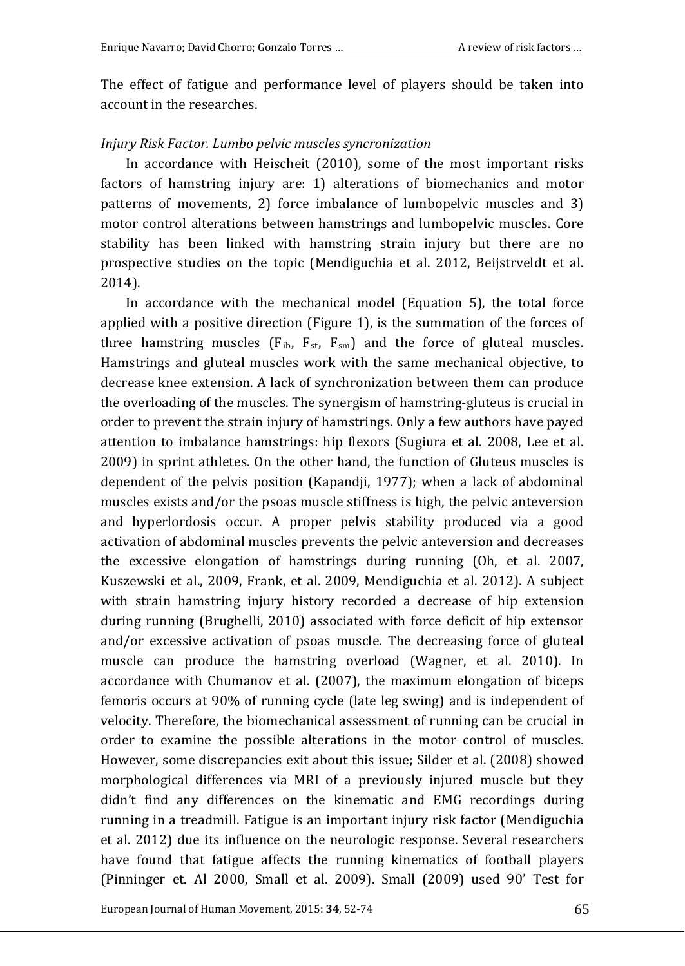The effect of fatigue and performance level of players should be taken into account in the researches.

#### *Injury Risk Factor. Lumbo pelvic muscles syncronization*

In accordance with Heischeit (2010), some of the most important risks factors of hamstring injury are: 1) alterations of biomechanics and motor patterns of movements, 2) force imbalance of lumbopelvic muscles and 3) motor control alterations between hamstrings and lumbopelvic muscles. Core stability has been linked with hamstring strain injury but there are no prospective studies on the topic (Mendiguchia et al. 2012, Beijstrveldt et al. 2014).

In accordance with the mechanical model (Equation 5), the total force applied with a positive direction (Figure 1), is the summation of the forces of three hamstring muscles  $(F_{ib}, F_{st}, F_{sm})$  and the force of gluteal muscles. Hamstrings and gluteal muscles work with the same mechanical objective, to decrease knee extension. A lack of synchronization between them can produce the overloading of the muscles. The synergism of hamstring-gluteus is crucial in order to prevent the strain injury of hamstrings. Only a few authors have payed attention to imbalance hamstrings: hip flexors (Sugiura et al. 2008, Lee et al. 2009) in sprint athletes. On the other hand, the function of Gluteus muscles is dependent of the pelvis position (Kapandji, 1977); when a lack of abdominal muscles exists and/or the psoas muscle stiffness is high, the pelvic anteversion and hyperlordosis occur. A proper pelvis stability produced via a good activation of abdominal muscles prevents the pelvic anteversion and decreases the excessive elongation of hamstrings during running (Oh, et al. 2007, Kuszewski et al., 2009, Frank, et al. 2009, Mendiguchia et al. 2012). A subject with strain hamstring injury history recorded a decrease of hip extension during running (Brughelli, 2010) associated with force deficit of hip extensor and/or excessive activation of psoas muscle. The decreasing force of gluteal muscle can produce the hamstring overload (Wagner, et al. 2010). In accordance with Chumanov et al. (2007), the maximum elongation of biceps femoris occurs at 90% of running cycle (late leg swing) and is independent of velocity. Therefore, the biomechanical assessment of running can be crucial in order to examine the possible alterations in the motor control of muscles. However, some discrepancies exit about this issue; Silder et al. (2008) showed morphological differences via MRI of a previously injured muscle but they didn't find any differences on the kinematic and EMG recordings during running in a treadmill. Fatigue is an important injury risk factor (Mendiguchia et al. 2012) due its influence on the neurologic response. Several researchers have found that fatigue affects the running kinematics of football players (Pinninger et. Al 2000, Small et al. 2009). Small (2009) used 90' Test for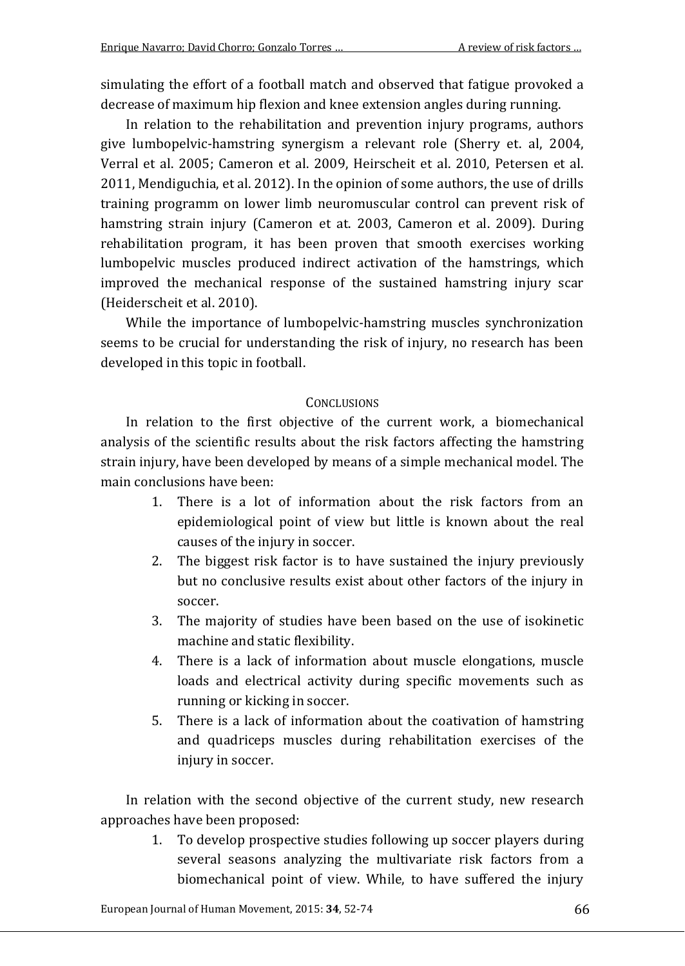simulating the effort of a football match and observed that fatigue provoked a decrease of maximum hip flexion and knee extension angles during running.

In relation to the rehabilitation and prevention injury programs, authors give lumbopelvic-hamstring synergism a relevant role (Sherry et. al, 2004, Verral et al. 2005; Cameron et al. 2009, Heirscheit et al. 2010, Petersen et al. 2011, Mendiguchia, et al. 2012). In the opinion of some authors, the use of drills training programm on lower limb neuromuscular control can prevent risk of hamstring strain injury (Cameron et at. 2003, Cameron et al. 2009). During rehabilitation program, it has been proven that smooth exercises working lumbopelvic muscles produced indirect activation of the hamstrings, which improved the mechanical response of the sustained hamstring injury scar (Heiderscheit et al. 2010).

While the importance of lumbopelvic-hamstring muscles synchronization seems to be crucial for understanding the risk of injury, no research has been developed in this topic in football.

#### **CONCLUSIONS**

In relation to the first objective of the current work, a biomechanical analysis of the scientific results about the risk factors affecting the hamstring strain injury, have been developed by means of a simple mechanical model. The main conclusions have been:

- 1. There is a lot of information about the risk factors from an epidemiological point of view but little is known about the real causes of the injury in soccer.
- 2. The biggest risk factor is to have sustained the injury previously but no conclusive results exist about other factors of the injury in soccer.
- 3. The majority of studies have been based on the use of isokinetic machine and static flexibility.
- 4. There is a lack of information about muscle elongations, muscle loads and electrical activity during specific movements such as running or kicking in soccer.
- 5. There is a lack of information about the coativation of hamstring and quadriceps muscles during rehabilitation exercises of the injury in soccer.

In relation with the second objective of the current study, new research approaches have been proposed:

> 1. To develop prospective studies following up soccer players during several seasons analyzing the multivariate risk factors from a biomechanical point of view. While, to have suffered the injury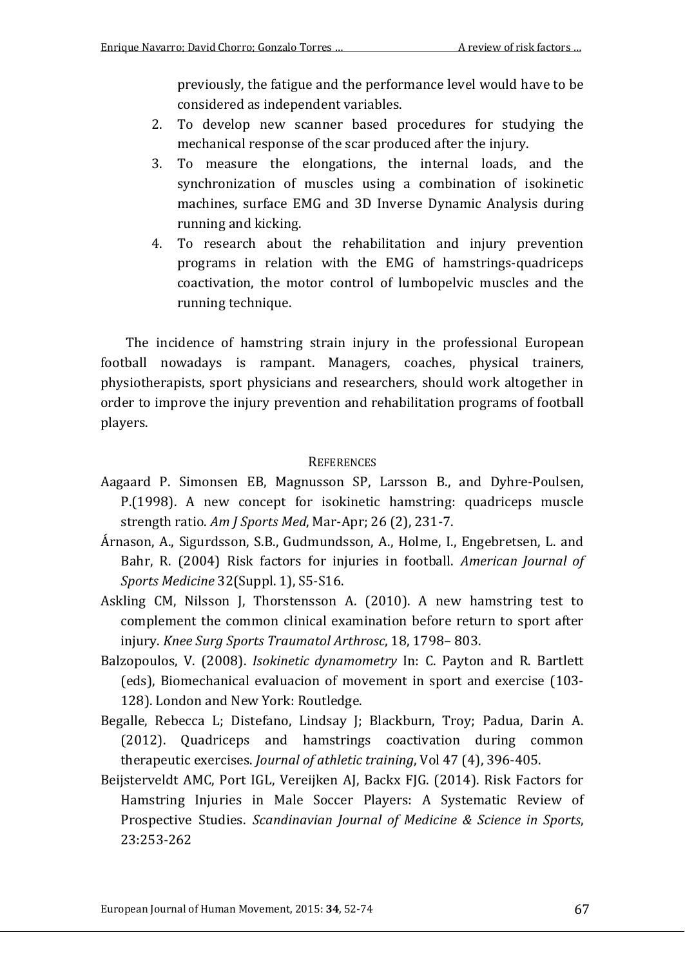previously, the fatigue and the performance level would have to be considered as independent variables.

- 2. To develop new scanner based procedures for studying the mechanical response of the scar produced after the injury.
- 3. To measure the elongations, the internal loads, and the synchronization of muscles using a combination of isokinetic machines, surface EMG and 3D Inverse Dynamic Analysis during running and kicking.
- 4. To research about the rehabilitation and injury prevention programs in relation with the EMG of hamstrings-quadriceps coactivation, the motor control of lumbopelvic muscles and the running technique.

The incidence of hamstring strain injury in the professional European football nowadays is rampant. Managers, coaches, physical trainers, physiotherapists, sport physicians and researchers, should work altogether in order to improve the injury prevention and rehabilitation programs of football players.

#### **REFERENCES**

- Aagaard P. Simonsen EB, Magnusson SP, Larsson B., and Dyhre-Poulsen, P.(1998). A new concept for isokinetic hamstring: quadriceps muscle strength ratio. *Am J Sports Med*, Mar-Apr; 26 (2), 231-7.
- Árnason, A., Sigurdsson, S.B., Gudmundsson, A., Holme, I., Engebretsen, L. and Bahr, R. (2004) Risk factors for injuries in football. *American Journal of Sports Medicine* 32(Suppl. 1), S5-S16.
- Askling CM, Nilsson J, Thorstensson A. (2010). A new hamstring test to complement the common clinical examination before return to sport after injury. *Knee Surg Sports Traumatol Arthrosc*, 18, 1798– 803.
- Balzopoulos, V. (2008). *Isokinetic dynamometry* In: C. Payton and R. Bartlett (eds), Biomechanical evaluacion of movement in sport and exercise (103- 128). London and New York: Routledge.
- Begalle, Rebecca L; Distefano, Lindsay J; Blackburn, Troy; Padua, Darin A. (2012). Quadriceps and hamstrings coactivation during common therapeutic exercises. *Journal of athletic training*, Vol 47 (4), 396-405.
- Beijsterveldt AMC, Port IGL, Vereijken AJ, Backx FJG. (2014). Risk Factors for Hamstring Injuries in Male Soccer Players: A Systematic Review of Prospective Studies. *Scandinavian Journal of Medicine & Science in Sports*, 23:253-262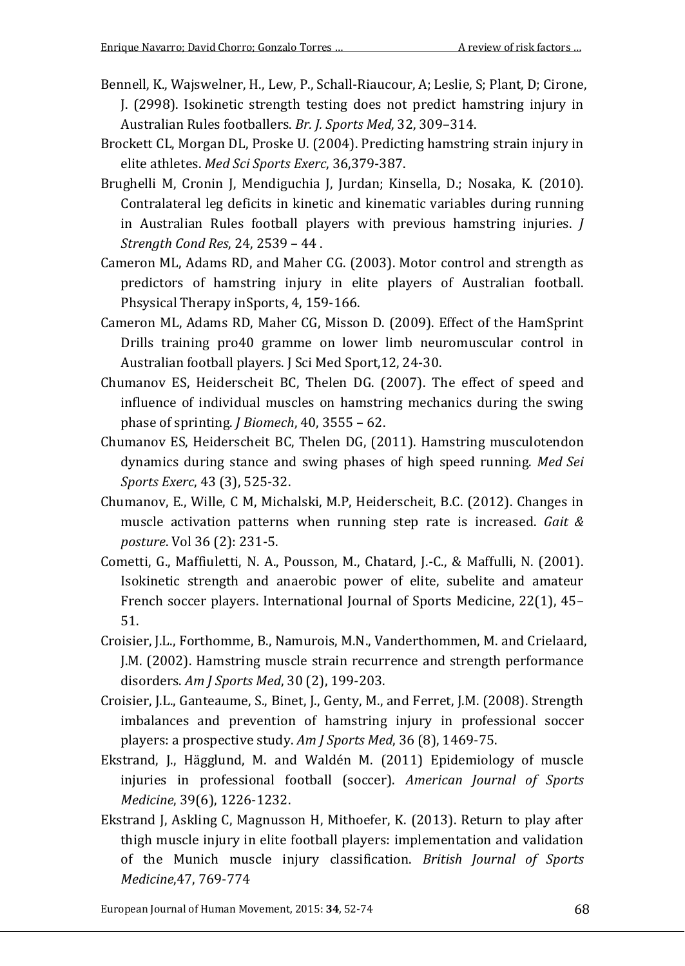- Bennell, K., Wajswelner, H., Lew, P., Schall-Riaucour, A; Leslie, S; Plant, D; Cirone, J. (2998). Isokinetic strength testing does not predict hamstring injury in Australian Rules footballers. *Br. J. Sports Med*, 32, 309–314.
- Brockett CL, Morgan DL, Proske U. (2004). Predicting hamstring strain injury in elite athletes. *Med Sci Sports Exerc*, 36,379-387.
- Brughelli M, Cronin J, Mendiguchia J, Jurdan; Kinsella, D.; Nosaka, K. (2010). Contralateral leg deficits in kinetic and kinematic variables during running in Australian Rules football players with previous hamstring injuries. *J Strength Cond Res*, 24, 2539 – 44 .
- Cameron ML, Adams RD, and Maher CG. (2003). Motor control and strength as predictors of hamstring injury in elite players of Australian football. Phsysical Therapy inSports, 4, 159-166.
- Cameron ML, Adams RD, Maher CG, Misson D. (2009). Effect of the HamSprint Drills training pro40 gramme on lower limb neuromuscular control in Australian football players. J Sci Med Sport,12, 24-30.
- Chumanov ES, Heiderscheit BC, Thelen DG. (2007). The effect of speed and influence of individual muscles on hamstring mechanics during the swing phase of sprinting. *J Biomech*, 40, 3555 – 62.
- Chumanov ES, Heiderscheit BC, Thelen DG, (2011). Hamstring musculotendon dynamics during stance and swing phases of high speed running. *Med Sei Sports Exerc*, 43 (3), 525-32.
- Chumanov, E., Wille, C M, Michalski, M.P, Heiderscheit, B.C. (2012). Changes in muscle activation patterns when running step rate is increased. *Gait & posture*. Vol 36 (2): 231-5.
- Cometti, G., Maffiuletti, N. A., Pousson, M., Chatard, J.-C., & Maffulli, N. (2001). Isokinetic strength and anaerobic power of elite, subelite and amateur French soccer players. International Journal of Sports Medicine, 22(1), 45– 51.
- Croisier, J.L., Forthomme, B., Namurois, M.N., Vanderthommen, M. and Crielaard, J.M. (2002). Hamstring muscle strain recurrence and strength performance disorders. *Am J Sports Med*, 30 (2), 199-203.
- Croisier, J.L., Ganteaume, S., Binet, J., Genty, M., and Ferret, J.M. (2008). Strength imbalances and prevention of hamstring injury in professional soccer players: a prospective study. *Am J Sports Med*, 36 (8), 1469-75.
- Ekstrand, J., Hägglund, M. and Waldén M. (2011) Epidemiology of muscle injuries in professional football (soccer). *American Journal of Sports Medicine*, 39(6), 1226-1232.
- Ekstrand J, Askling C, Magnusson H, Mithoefer, K. (2013). Return to play after thigh muscle injury in elite football players: implementation and validation of the Munich muscle injury classification. *British Journal of Sports Medicine*,47, 769-774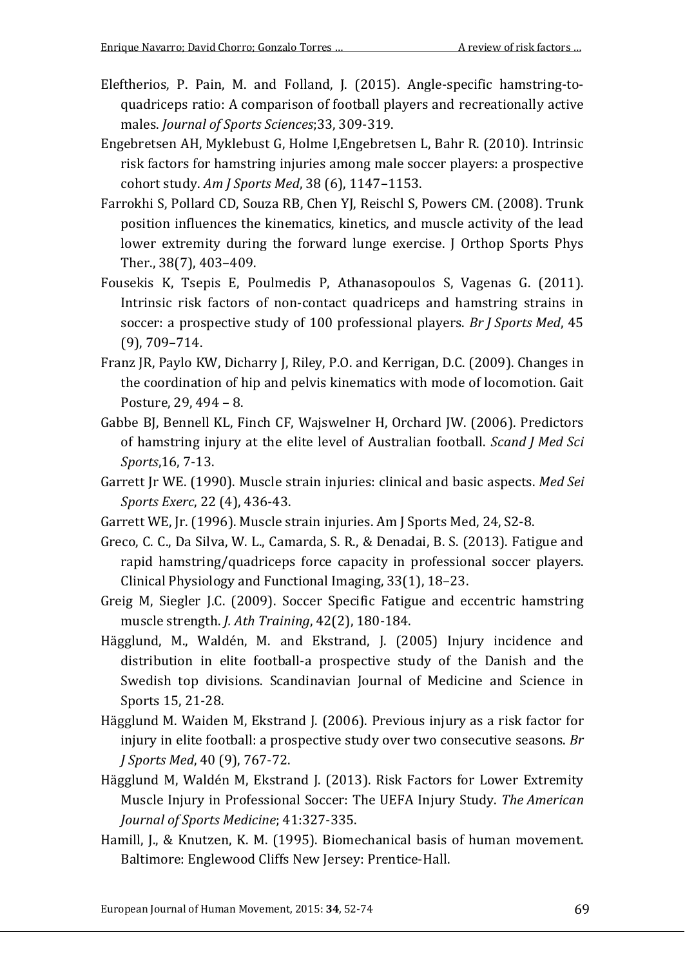- Eleftherios, P. Pain, M. and Folland, J. (2015). Angle-specific hamstring-toquadriceps ratio: A comparison of football players and recreationally active males. *Journal of Sports Sciences*;33, 309-319.
- Engebretsen AH, Myklebust G, Holme I,Engebretsen L, Bahr R. (2010). Intrinsic risk factors for hamstring injuries among male soccer players: a prospective cohort study. *Am J Sports Med*, 38 (6), 1147–1153.
- Farrokhi S, Pollard CD, Souza RB, Chen YJ, Reischl S, Powers CM. (2008). Trunk position influences the kinematics, kinetics, and muscle activity of the lead lower extremity during the forward lunge exercise. J Orthop Sports Phys Ther., 38(7), 403–409.
- Fousekis K, Tsepis E, Poulmedis P, Athanasopoulos S, Vagenas G. (2011). Intrinsic risk factors of non-contact quadriceps and hamstring strains in soccer: a prospective study of 100 professional players. *Br J Sports Med*, 45 (9), 709–714.
- Franz JR, Paylo KW, Dicharry J, Riley, P.O. and Kerrigan, D.C. (2009). Changes in the coordination of hip and pelvis kinematics with mode of locomotion. Gait Posture, 29, 494 – 8.
- Gabbe BJ, Bennell KL, Finch CF, Wajswelner H, Orchard JW. (2006). Predictors of hamstring injury at the elite level of Australian football. *Scand J Med Sci Sports*,16, 7-13.
- Garrett Jr WE. (1990). Muscle strain injuries: clinical and basic aspects. *Med Sei Sports Exerc*, 22 (4), 436-43.
- Garrett WE, Jr. (1996). Muscle strain injuries. Am J Sports Med, 24, S2-8.
- Greco, C. C., Da Silva, W. L., Camarda, S. R., & Denadai, B. S. (2013). Fatigue and rapid hamstring/quadriceps force capacity in professional soccer players. Clinical Physiology and Functional Imaging, 33(1), 18–23.
- Greig M, Siegler J.C. (2009). Soccer Specific Fatigue and eccentric hamstring muscle strength. *J. Ath Training*, 42(2), 180-184.
- Hägglund, M., Waldén, M. and Ekstrand, J. (2005) Injury incidence and distribution in elite football-a prospective study of the Danish and the Swedish top divisions. Scandinavian Journal of Medicine and Science in Sports 15, 21-28.
- Hägglund M. Waiden M, Ekstrand J. (2006). Previous injury as a risk factor for injury in elite football: a prospective study over two consecutive seasons. *Br J Sports Med*, 40 (9), 767-72.
- Hägglund M, Waldén M, Ekstrand J. (2013). Risk Factors for Lower Extremity Muscle Injury in Professional Soccer: The UEFA Injury Study. *The American Journal of Sports Medicine*; 41:327-335.
- Hamill, J., & Knutzen, K. M. (1995). Biomechanical basis of human movement. Baltimore: Englewood Cliffs New Jersey: Prentice-Hall.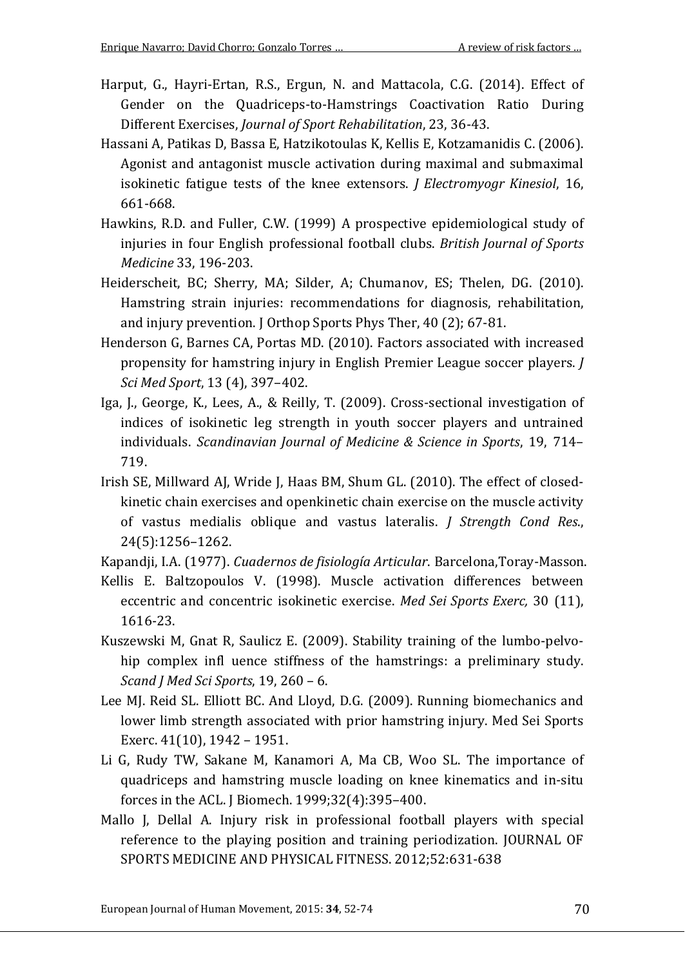- Harput, G., Hayri-Ertan, R.S., Ergun, N. and Mattacola, C.G. (2014). Effect of Gender on the Quadriceps-to-Hamstrings Coactivation Ratio During Different Exercises, *Journal of Sport Rehabilitation*, 23, 36-43.
- Hassani A, Patikas D, Bassa E, Hatzikotoulas K, Kellis E, Kotzamanidis C. (2006). Agonist and antagonist muscle activation during maximal and submaximal isokinetic fatigue tests of the knee extensors. *J Electromyogr Kinesiol*, 16, 661-668.
- Hawkins, R.D. and Fuller, C.W. (1999) A prospective epidemiological study of injuries in four English professional football clubs. *British Journal of Sports Medicine* 33, 196-203.
- Heiderscheit, BC; Sherry, MA; Silder, A; Chumanov, ES; Thelen, DG. (2010). Hamstring strain injuries: recommendations for diagnosis, rehabilitation, and injury prevention. J Orthop Sports Phys Ther, 40 (2); 67-81.
- Henderson G, Barnes CA, Portas MD. (2010). Factors associated with increased propensity for hamstring injury in English Premier League soccer players. *J Sci Med Sport*, 13 (4), 397–402.
- Iga, J., George, K., Lees, A., & Reilly, T. (2009). Cross-sectional investigation of indices of isokinetic leg strength in youth soccer players and untrained individuals. *Scandinavian Journal of Medicine & Science in Sports*, 19, 714– 719.
- Irish SE, Millward AJ, Wride J, Haas BM, Shum GL. (2010). The effect of closedkinetic chain exercises and openkinetic chain exercise on the muscle activity of vastus medialis oblique and vastus lateralis. *J Strength Cond Res*., 24(5):1256–1262.
- Kapandji, I.A. (1977). *Cuadernos de fisiología Articular*. Barcelona,Toray-Masson.
- Kellis E. Baltzopoulos V. (1998). Muscle activation differences between eccentric and concentric isokinetic exercise. *Med Sei Sports Exerc,* 30 (11), 1616-23.
- Kuszewski M, Gnat R, Saulicz E. (2009). Stability training of the lumbo-pelvohip complex infl uence stiffness of the hamstrings: a preliminary study. *Scand J Med Sci Sports*, 19, 260 – 6.
- Lee MJ. Reid SL. Elliott BC. And Lloyd, D.G. (2009). Running biomechanics and lower limb strength associated with prior hamstring injury. Med Sei Sports Exerc. 41(10), 1942 – 1951.
- Li G, Rudy TW, Sakane M, Kanamori A, Ma CB, Woo SL. The importance of quadriceps and hamstring muscle loading on knee kinematics and in-situ forces in the ACL. J Biomech. 1999;32(4):395–400.
- Mallo J, Dellal A. Injury risk in professional football players with special reference to the playing position and training periodization. JOURNAL OF SPORTS MEDICINE AND PHYSICAL FITNESS. 2012;52:631-638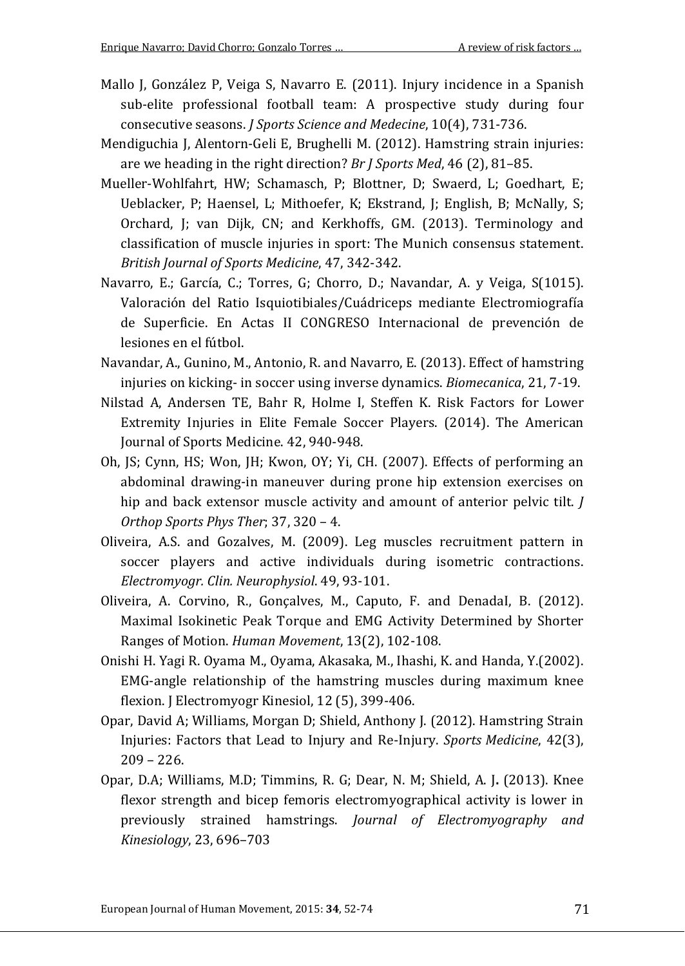- Mallo J, González P, Veiga S, Navarro E. (2011). Injury incidence in a Spanish sub-elite professional football team: A prospective study during four consecutive seasons. *J Sports Science and Medecine*, 10(4), 731-736.
- Mendiguchia J, Alentorn-Geli E, Brughelli M. (2012). Hamstring strain injuries: are we heading in the right direction? *Br J Sports Med*, 46 (2), 81–85.
- Mueller-Wohlfahrt, HW; Schamasch, P; Blottner, D; Swaerd, L; Goedhart, E; Ueblacker, P; Haensel, L; Mithoefer, K; Ekstrand, J; English, B; McNally, S; Orchard, J; van Dijk, CN; and Kerkhoffs, GM. (2013). Terminology and classification of muscle injuries in sport: The Munich consensus statement. *British Journal of Sports Medicine*, 47, 342-342.
- Navarro, E.; García, C.; Torres, G; Chorro, D.; Navandar, A. y Veiga, S(1015). Valoración del Ratio Isquiotibiales/Cuádriceps mediante Electromiografía de Superficie. En Actas II CONGRESO Internacional de prevención de lesiones en el fútbol.
- Navandar, A., Gunino, M., Antonio, R. and Navarro, E. (2013). Effect of hamstring injuries on kicking- in soccer using inverse dynamics. *Biomecanica*, 21, 7-19.
- Nilstad A, Andersen TE, Bahr R, Holme I, Steffen K. Risk Factors for Lower Extremity Injuries in Elite Female Soccer Players. (2014). The American Journal of Sports Medicine. 42, 940-948.
- Oh, JS; Cynn, HS; Won, JH; Kwon, OY; Yi, CH. (2007). Effects of performing an abdominal drawing-in maneuver during prone hip extension exercises on hip and back extensor muscle activity and amount of anterior pelvic tilt. *J Orthop Sports Phys Ther*; 37, 320 – 4.
- Oliveira, A.S. and Gozalves, M. (2009). Leg muscles recruitment pattern in soccer players and active individuals during isometric contractions. *Electromyogr. Clin. Neurophysiol*. 49, 93-101.
- Oliveira, A. Corvino, R., Gonçalves, M., Caputo, F. and DenadaI, B. (2012). Maximal Isokinetic Peak Torque and EMG Activity Determined by Shorter Ranges of Motion. *Human Movement*, 13(2), 102-108.
- Onishi H. Yagi R. Oyama M., Oyama, Akasaka, M., Ihashi, K. and Handa, Y.(2002). EMG-angle relationship of the hamstring muscles during maximum knee flexion. J Electromyogr Kinesiol, 12 (5), 399-406.
- Opar, David A; Williams, Morgan D; Shield, Anthony J. (2012). Hamstring Strain Injuries: Factors that Lead to Injury and Re-Injury. *Sports Medicine*, 42(3), 209 – 226.
- Opar, D.A; Williams, M.D; Timmins, R. G; Dear, N. M; Shield, A. J**.** (2013). Knee flexor strength and bicep femoris electromyographical activity is lower in previously strained hamstrings. *Journal of Electromyography and Kinesiology*, 23, 696–703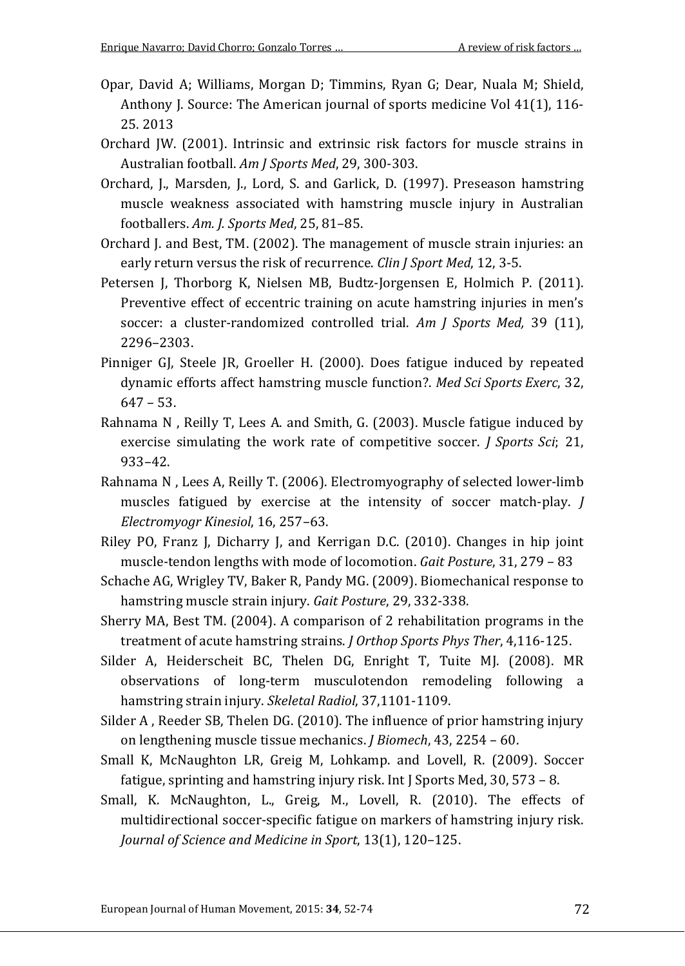- Opar, David A; Williams, Morgan D; Timmins, Ryan G; Dear, Nuala M; Shield, Anthony J. Source: The American journal of sports medicine Vol 41(1), 116-25. 2013
- Orchard JW. (2001). Intrinsic and extrinsic risk factors for muscle strains in Australian football. *Am J Sports Med*, 29, 300-303.
- Orchard, J., Marsden, J., Lord, S. and Garlick, D. (1997). Preseason hamstring muscle weakness associated with hamstring muscle injury in Australian footballers. *Am. J. Sports Med*, 25, 81–85.
- Orchard J. and Best, TM. (2002). The management of muscle strain injuries: an early return versus the risk of recurrence. *Clin J Sport Med*, 12, 3-5.
- Petersen J, Thorborg K, Nielsen MB, Budtz-Jorgensen E, Holmich P. (2011). Preventive effect of eccentric training on acute hamstring injuries in men's soccer: a cluster-randomized controlled trial. *Am J Sports Med,* 39 (11), 2296–2303.
- Pinniger GJ, Steele JR, Groeller H. (2000). Does fatigue induced by repeated dynamic efforts affect hamstring muscle function?. *Med Sci Sports Exerc*, 32, 647 – 53.
- Rahnama N , Reilly T, Lees A. and Smith, G. (2003). Muscle fatigue induced by exercise simulating the work rate of competitive soccer. *J Sports Sci*; 21, 933–42.
- Rahnama N , Lees A, Reilly T. (2006). Electromyography of selected lower-limb muscles fatigued by exercise at the intensity of soccer match-play. *J Electromyogr Kinesiol*, 16, 257–63.
- Riley PO, Franz J, Dicharry J, and Kerrigan D.C. (2010). Changes in hip joint muscle-tendon lengths with mode of locomotion. *Gait Posture*, 31, 279 – 83
- Schache AG, Wrigley TV, Baker R, Pandy MG. (2009). Biomechanical response to hamstring muscle strain injury. *Gait Posture*, 29, 332-338.
- Sherry MA, Best TM. (2004). A comparison of 2 rehabilitation programs in the treatment of acute hamstring strains. *J Orthop Sports Phys Ther*, 4,116-125.
- Silder A, Heiderscheit BC, Thelen DG, Enright T, Tuite MJ. (2008). MR observations of long-term musculotendon remodeling following a hamstring strain injury. *Skeletal Radiol*, 37,1101-1109.
- Silder A , Reeder SB, Thelen DG. (2010). The influence of prior hamstring injury on lengthening muscle tissue mechanics. *J Biomech*, 43, 2254 – 60.
- Small K, McNaughton LR, Greig M, Lohkamp. and Lovell, R. (2009). Soccer fatigue, sprinting and hamstring injury risk. Int J Sports Med, 30, 573 – 8.
- Small, K. McNaughton, L., Greig, M., Lovell, R. (2010). The effects of multidirectional soccer-specific fatigue on markers of hamstring injury risk. *Journal of Science and Medicine in Sport*, 13(1), 120–125.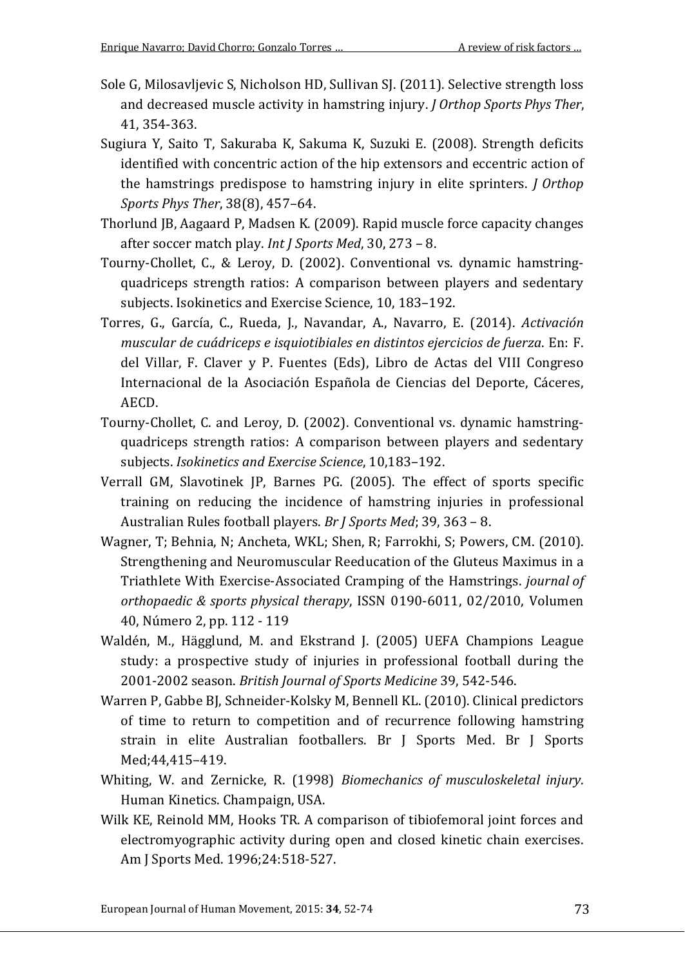- Sole G, Milosavljevic S, Nicholson HD, Sullivan SJ. (2011). Selective strength loss and decreased muscle activity in hamstring injury. *J Orthop Sports Phys Ther*, 41, 354-363.
- Sugiura Y, Saito T, Sakuraba K, Sakuma K, Suzuki E. (2008). Strength deficits identified with concentric action of the hip extensors and eccentric action of the hamstrings predispose to hamstring injury in elite sprinters. *J Orthop Sports Phys Ther*, 38(8), 457–64.
- Thorlund JB, Aagaard P, Madsen K. (2009). Rapid muscle force capacity changes after soccer match play. *Int J Sports Med*, 30, 273 – 8.
- Tourny-Chollet, C., & Leroy, D. (2002). Conventional vs. dynamic hamstringquadriceps strength ratios: A comparison between players and sedentary subjects. Isokinetics and Exercise Science, 10, 183–192.
- Torres, G., García, C., Rueda, J., Navandar, A., Navarro, E. (2014). *Activación muscular de cuádriceps e isquiotibiales en distintos ejercicios de fuerza*. En: F. del Villar, F. Claver y P. Fuentes (Eds), Libro de Actas del VIII Congreso Internacional de la Asociación Española de Ciencias del Deporte, Cáceres, AECD.
- Tourny-Chollet, C. and Leroy, D. (2002). Conventional vs. dynamic hamstringquadriceps strength ratios: A comparison between players and sedentary subjects. *Isokinetics and Exercise Science*, 10,183–192.
- Verrall GM, Slavotinek JP, Barnes PG. (2005). The effect of sports specific training on reducing the incidence of hamstring injuries in professional Australian Rules football players. *Br J Sports Med*; 39, 363 – 8.
- Wagner, T; Behnia, N; Ancheta, WKL; Shen, R; Farrokhi, S; Powers, CM. (2010). Strengthening and Neuromuscular Reeducation of the Gluteus Maximus in a Triathlete With Exercise-Associated Cramping of the Hamstrings. *journal of orthopaedic & sports physical therapy*, ISSN 0190-6011, 02/2010, Volumen 40, Número 2, pp. 112 - 119
- Waldén, M., Hägglund, M. and Ekstrand J. (2005) UEFA Champions League study: a prospective study of injuries in professional football during the 2001-2002 season. *British Journal of Sports Medicine* 39, 542-546.
- Warren P, Gabbe BJ, Schneider-Kolsky M, Bennell KL. (2010). Clinical predictors of time to return to competition and of recurrence following hamstring strain in elite Australian footballers. Br J Sports Med. Br J Sports Med;44,415–419.
- Whiting, W. and Zernicke, R. (1998) *Biomechanics of musculoskeletal injury*. Human Kinetics. Champaign, USA.
- Wilk KE, Reinold MM, Hooks TR. A comparison of tibiofemoral joint forces and electromyographic activity during open and closed kinetic chain exercises. Am J Sports Med. 1996;24:518-527.